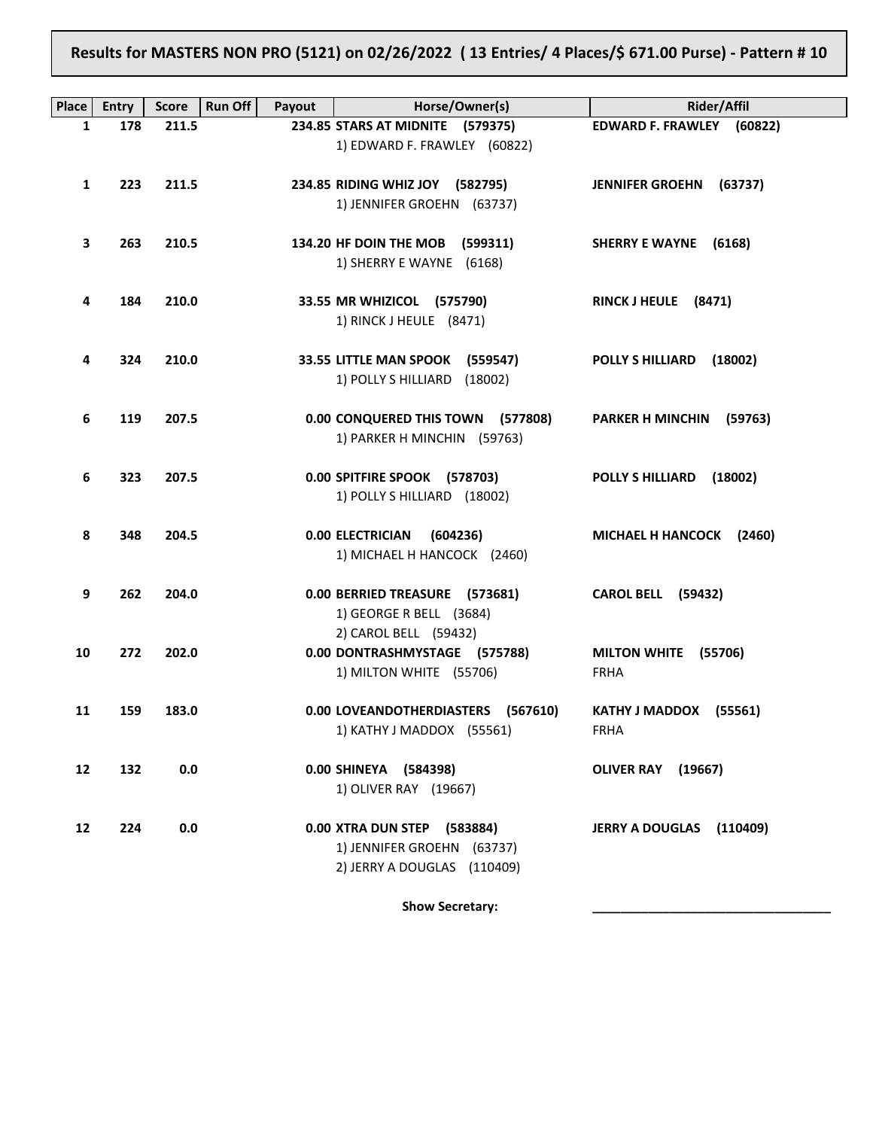**Results for MASTERS NON PRO (5121) on 02/26/2022 ( 13 Entries/ 4 Places/\$ 671.00 Purse) - Pattern # 10**

| Place | <b>Entry</b> | <b>Score</b> | <b>Run Off</b><br>Payout | Horse/Owner(s)                                                                           | <b>Rider/Affil</b>                    |
|-------|--------------|--------------|--------------------------|------------------------------------------------------------------------------------------|---------------------------------------|
| 1     | 178          | 211.5        |                          | 234.85 STARS AT MIDNITE (579375)<br>1) EDWARD F. FRAWLEY (60822)                         | EDWARD F. FRAWLEY (60822)             |
| 1     | 223          | 211.5        |                          | 234.85 RIDING WHIZ JOY (582795)<br>1) JENNIFER GROEHN (63737)                            | JENNIFER GROEHN (63737)               |
| З     | 263          | 210.5        |                          | 134.20 HF DOIN THE MOB (599311)<br>1) SHERRY E WAYNE (6168)                              | SHERRY E WAYNE (6168)                 |
| 4     | 184          | 210.0        |                          | 33.55 MR WHIZICOL (575790)<br>1) RINCK J HEULE (8471)                                    | RINCK J HEULE (8471)                  |
| 4     | 324          | 210.0        |                          | 33.55 LITTLE MAN SPOOK (559547)<br>1) POLLY S HILLIARD (18002)                           | POLLY S HILLIARD (18002)              |
| 6     | 119          | 207.5        |                          | 0.00 CONQUERED THIS TOWN (577808)<br>1) PARKER H MINCHIN (59763)                         | <b>PARKER H MINCHIN</b><br>(59763)    |
| 6     | 323          | 207.5        |                          | 0.00 SPITFIRE SPOOK (578703)<br>1) POLLY S HILLIARD (18002)                              | <b>POLLY S HILLIARD</b><br>(18002)    |
| 8     | 348          | 204.5        |                          | 0.00 ELECTRICIAN<br>(604236)<br>1) MICHAEL H HANCOCK (2460)                              | MICHAEL H HANCOCK (2460)              |
| 9     | 262          | 204.0        |                          | 0.00 BERRIED TREASURE (573681)<br>1) GEORGE R BELL (3684)                                | <b>CAROL BELL (59432)</b>             |
| 10    | 272          | 202.0        |                          | 2) CAROL BELL (59432)<br>0.00 DONTRASHMYSTAGE (575788)<br>1) MILTON WHITE (55706)        | MILTON WHITE (55706)<br><b>FRHA</b>   |
| 11    | 159          | 183.0        |                          | 0.00 LOVEANDOTHERDIASTERS (567610)<br>1) KATHY J MADDOX (55561)                          | KATHY J MADDOX (55561)<br><b>FRHA</b> |
| 12    | 132          | 0.0          |                          | 0.00 SHINEYA (584398)<br>1) OLIVER RAY (19667)                                           | OLIVER RAY (19667)                    |
| 12    | 224          | $0.0\,$      |                          | 0.00 XTRA DUN STEP (583884)<br>1) JENNIFER GROEHN (63737)<br>2) JERRY A DOUGLAS (110409) | JERRY A DOUGLAS (110409)              |

Show Secretary: